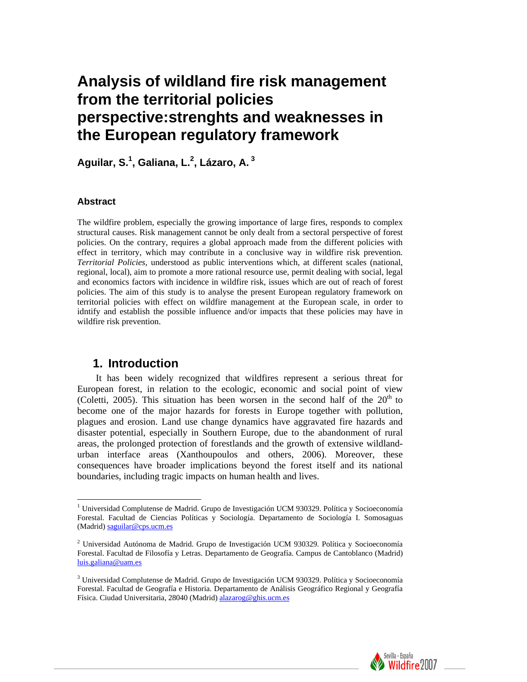# **Analysis of wildland fire risk management from the territorial policies perspective:strenghts and weaknesses in the European regulatory framework**

**Aguilar, S.[1](#page-0-0) , Galiana, L[.2](#page-0-1) , Lázaro, A. [3](#page-0-2)**

### **Abstract**

 $\overline{a}$ 

The wildfire problem, especially the growing importance of large fires, responds to complex structural causes. Risk management cannot be only dealt from a sectoral perspective of forest policies. On the contrary, requires a global approach made from the different policies with effect in territory, which may contribute in a conclusive way in wildfire risk prevention. *Territorial Policies*, understood as public interventions which, at different scales (national, regional, local), aim to promote a more rational resource use, permit dealing with social, legal and economics factors with incidence in wildfire risk, issues which are out of reach of forest policies. The aim of this study is to analyse the present European regulatory framework on territorial policies with effect on wildfire management at the European scale, in order to idntify and establish the possible influence and/or impacts that these policies may have in wildfire risk prevention.

### **1. Introduction**

It has been widely recognized that wildfires represent a serious threat for European forest, in relation to the ecologic, economic and social point of view (Coletti, 2005). This situation has been worsen in the second half of the  $20<sup>th</sup>$  to become one of the major hazards for forests in Europe together with pollution, plagues and erosion. Land use change dynamics have aggravated fire hazards and disaster potential, especially in Southern Europe, due to the abandonment of rural areas, the prolonged protection of forestlands and the growth of extensive wildlandurban interface areas (Xanthoupoulos and others, 2006). Moreover, these consequences have broader implications beyond the forest itself and its national boundaries, including tragic impacts on human health and lives.



<span id="page-0-0"></span><sup>&</sup>lt;sup>1</sup> Universidad Complutense de Madrid. Grupo de Investigación UCM 930329. Política y Socioeconomía Forestal. Facultad de Ciencias Políticas y Sociología. Departamento de Sociología I. Somosaguas (Madrid) [saguilar@cps.ucm.es](mailto:saguilar@cps.ucm.es)

<span id="page-0-1"></span><sup>2</sup> Universidad Autónoma de Madrid. Grupo de Investigación UCM 930329. Política y Socioeconomía Forestal. Facultad de Filosofía y Letras. Departamento de Geografía. Campus de Cantoblanco (Madrid) [luis.galiana@uam.es](mailto:luis.galiana@uam.es) 

<span id="page-0-2"></span><sup>3</sup> Universidad Complutense de Madrid. Grupo de Investigación UCM 930329. Política y Socioeconomía Forestal. Facultad de Geografía e Historia. Departamento de Análisis Geográfico Regional y Geografía Física. Ciudad Universitaria, 28040 (Madrid) [alazarog@ghis.ucm.es](mailto:alazarog@ghis.ucm.es)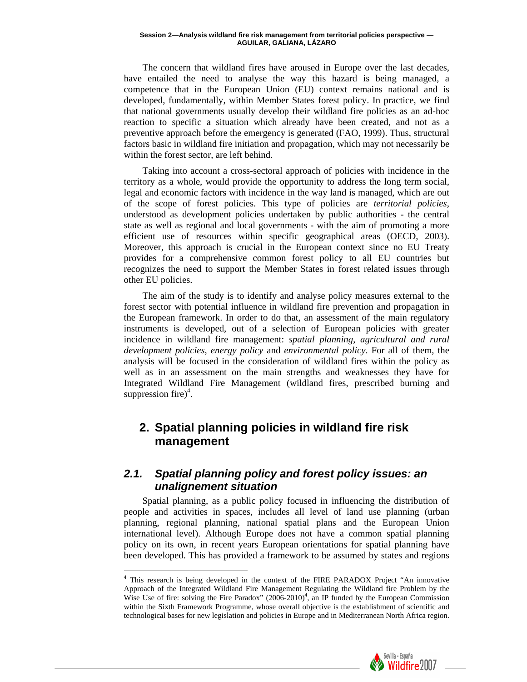The concern that wildland fires have aroused in Europe over the last decades, have entailed the need to analyse the way this hazard is being managed, a competence that in the European Union (EU) context remains national and is developed, fundamentally, within Member States forest policy. In practice, we find that national governments usually develop their wildland fire policies as an ad-hoc reaction to specific a situation which already have been created, and not as a preventive approach before the emergency is generated (FAO, 1999). Thus, structural factors basic in wildland fire initiation and propagation, which may not necessarily be within the forest sector, are left behind.

Taking into account a cross-sectoral approach of policies with incidence in the territory as a whole, would provide the opportunity to address the long term social, legal and economic factors with incidence in the way land is managed, which are out of the scope of forest policies. This type of policies are *territorial policies*, understood as development policies undertaken by public authorities - the central state as well as regional and local governments - with the aim of promoting a more efficient use of resources within specific geographical areas (OECD, 2003). Moreover, this approach is crucial in the European context since no EU Treaty provides for a comprehensive common forest policy to all EU countries but recognizes the need to support the Member States in forest related issues through other EU policies.

The aim of the study is to identify and analyse policy measures external to the forest sector with potential influence in wildland fire prevention and propagation in the European framework. In order to do that, an assessment of the main regulatory instruments is developed, out of a selection of European policies with greater incidence in wildland fire management: *spatial planning*, *agricultural and rural development policies*, *energy policy* and *environmental policy*. For all of them, the analysis will be focused in the consideration of wildland fires within the policy as well as in an assessment on the main strengths and weaknesses they have for Integrated Wildland Fire Management (wildland fires, prescribed burning and suppression fire)<sup>[4](#page-1-0)</sup>.

## **2. Spatial planning policies in wildland fire risk management**

### *2.1. Spatial planning policy and forest policy issues: an unalignement situation*

Spatial planning, as a public policy focused in influencing the distribution of people and activities in spaces, includes all level of land use planning (urban planning, regional planning, national spatial plans and the European Union international level). Although Europe does not have a common spatial planning policy on its own, in recent years European orientations for spatial planning have been developed. This has provided a framework to be assumed by states and regions



<span id="page-1-0"></span><sup>&</sup>lt;sup>4</sup> This research is being developed in the context of the FIRE PARADOX Project "An innovative Approach of the Integrated Wildland Fire Management Regulating the Wildland fire Problem by the Wise Use of fire: solving the Fire Paradox"  $(2006-2010)^4$ , an IP funded by the European Commission within the Sixth Framework Programme, whose overall objective is the establishment of scientific and technological bases for new legislation and policies in Europe and in Mediterranean North Africa region.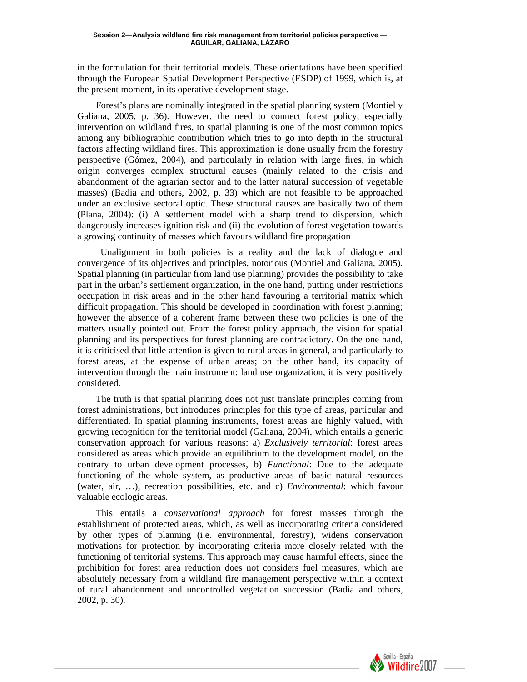in the formulation for their territorial models. These orientations have been specified through the European Spatial Development Perspective (ESDP) of 1999, which is, at the present moment, in its operative development stage.

Forest's plans are nominally integrated in the spatial planning system (Montiel y Galiana, 2005, p. 36). However, the need to connect forest policy, especially intervention on wildland fires, to spatial planning is one of the most common topics among any bibliographic contribution which tries to go into depth in the structural factors affecting wildland fires. This approximation is done usually from the forestry perspective (Gómez, 2004), and particularly in relation with large fires, in which origin converges complex structural causes (mainly related to the crisis and abandonment of the agrarian sector and to the latter natural succession of vegetable masses) (Badia and others, 2002, p. 33) which are not feasible to be approached under an exclusive sectoral optic. These structural causes are basically two of them (Plana, 2004): (i) A settlement model with a sharp trend to dispersion, which dangerously increases ignition risk and (ii) the evolution of forest vegetation towards a growing continuity of masses which favours wildland fire propagation

Unalignment in both policies is a reality and the lack of dialogue and convergence of its objectives and principles, notorious (Montiel and Galiana, 2005). Spatial planning (in particular from land use planning) provides the possibility to take part in the urban's settlement organization, in the one hand, putting under restrictions occupation in risk areas and in the other hand favouring a territorial matrix which difficult propagation. This should be developed in coordination with forest planning; however the absence of a coherent frame between these two policies is one of the matters usually pointed out. From the forest policy approach, the vision for spatial planning and its perspectives for forest planning are contradictory. On the one hand, it is criticised that little attention is given to rural areas in general, and particularly to forest areas, at the expense of urban areas; on the other hand, its capacity of intervention through the main instrument: land use organization, it is very positively considered.

The truth is that spatial planning does not just translate principles coming from forest administrations, but introduces principles for this type of areas, particular and differentiated. In spatial planning instruments, forest areas are highly valued, with growing recognition for the territorial model (Galiana, 2004), which entails a generic conservation approach for various reasons: a) *Exclusively territorial*: forest areas considered as areas which provide an equilibrium to the development model, on the contrary to urban development processes, b) *Functional*: Due to the adequate functioning of the whole system, as productive areas of basic natural resources (water, air, …), recreation possibilities, etc. and c) *Environmental*: which favour valuable ecologic areas.

This entails a *conservational approach* for forest masses through the establishment of protected areas, which, as well as incorporating criteria considered by other types of planning (i.e. environmental, forestry), widens conservation motivations for protection by incorporating criteria more closely related with the functioning of territorial systems. This approach may cause harmful effects, since the prohibition for forest area reduction does not considers fuel measures, which are absolutely necessary from a wildland fire management perspective within a context of rural abandonment and uncontrolled vegetation succession (Badia and others, 2002, p. 30).

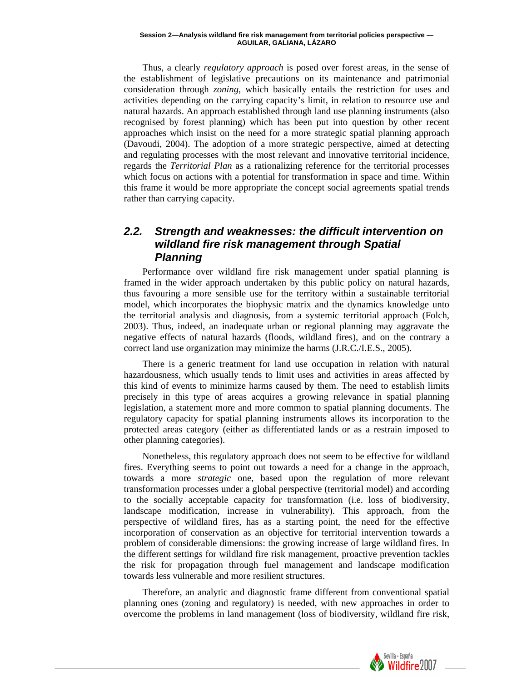Thus, a clearly *regulatory approach* is posed over forest areas, in the sense of the establishment of legislative precautions on its maintenance and patrimonial consideration through *zoning*, which basically entails the restriction for uses and activities depending on the carrying capacity's limit, in relation to resource use and natural hazards. An approach established through land use planning instruments (also recognised by forest planning) which has been put into question by other recent approaches which insist on the need for a more strategic spatial planning approach (Davoudi, 2004). The adoption of a more strategic perspective, aimed at detecting and regulating processes with the most relevant and innovative territorial incidence, regards the *Territorial Plan* as a rationalizing reference for the territorial processes which focus on actions with a potential for transformation in space and time. Within this frame it would be more appropriate the concept social agreements spatial trends rather than carrying capacity.

### *2.2. Strength and weaknesses: the difficult intervention on wildland fire risk management through Spatial Planning*

Performance over wildland fire risk management under spatial planning is framed in the wider approach undertaken by this public policy on natural hazards, thus favouring a more sensible use for the territory within a sustainable territorial model, which incorporates the biophysic matrix and the dynamics knowledge unto the territorial analysis and diagnosis, from a systemic territorial approach (Folch, 2003). Thus, indeed, an inadequate urban or regional planning may aggravate the negative effects of natural hazards (floods, wildland fires), and on the contrary a correct land use organization may minimize the harms (J.R.C./I.E.S., 2005).

There is a generic treatment for land use occupation in relation with natural hazardousness, which usually tends to limit uses and activities in areas affected by this kind of events to minimize harms caused by them. The need to establish limits precisely in this type of areas acquires a growing relevance in spatial planning legislation, a statement more and more common to spatial planning documents. The regulatory capacity for spatial planning instruments allows its incorporation to the protected areas category (either as differentiated lands or as a restrain imposed to other planning categories).

Nonetheless, this regulatory approach does not seem to be effective for wildland fires. Everything seems to point out towards a need for a change in the approach, towards a more *strategic* one, based upon the regulation of more relevant transformation processes under a global perspective (territorial model) and according to the socially acceptable capacity for transformation (i.e. loss of biodiversity, landscape modification, increase in vulnerability). This approach, from the perspective of wildland fires, has as a starting point, the need for the effective incorporation of conservation as an objective for territorial intervention towards a problem of considerable dimensions: the growing increase of large wildland fires. In the different settings for wildland fire risk management, proactive prevention tackles the risk for propagation through fuel management and landscape modification towards less vulnerable and more resilient structures.

Therefore, an analytic and diagnostic frame different from conventional spatial planning ones (zoning and regulatory) is needed, with new approaches in order to overcome the problems in land management (loss of biodiversity, wildland fire risk,

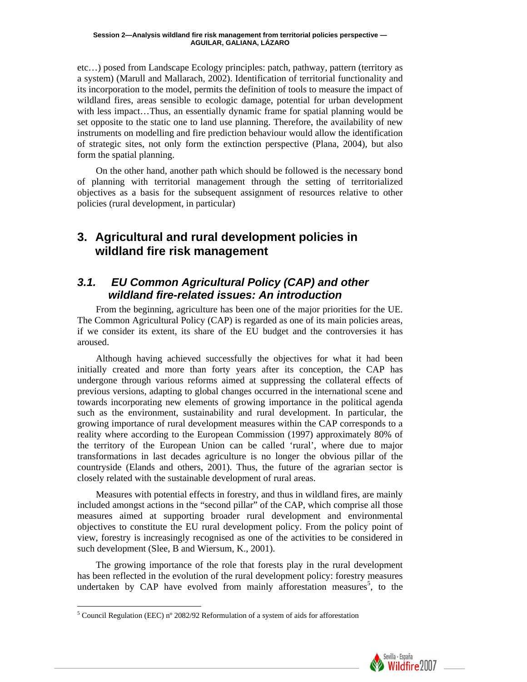etc…) posed from Landscape Ecology principles: patch, pathway, pattern (territory as a system) (Marull and Mallarach, 2002). Identification of territorial functionality and its incorporation to the model, permits the definition of tools to measure the impact of wildland fires, areas sensible to ecologic damage, potential for urban development with less impact...Thus, an essentially dynamic frame for spatial planning would be set opposite to the static one to land use planning. Therefore, the availability of new instruments on modelling and fire prediction behaviour would allow the identification of strategic sites, not only form the extinction perspective (Plana, 2004), but also form the spatial planning.

On the other hand, another path which should be followed is the necessary bond of planning with territorial management through the setting of territorialized objectives as a basis for the subsequent assignment of resources relative to other policies (rural development, in particular)

## **3. Agricultural and rural development policies in wildland fire risk management**

### *3.1. EU Common Agricultural Policy (CAP) and other wildland fire-related issues: An introduction*

From the beginning, agriculture has been one of the major priorities for the UE. The Common Agricultural Policy (CAP) is regarded as one of its main policies areas, if we consider its extent, its share of the EU budget and the controversies it has aroused.

Although having achieved successfully the objectives for what it had been initially created and more than forty years after its conception, the CAP has undergone through various reforms aimed at suppressing the collateral effects of previous versions, adapting to global changes occurred in the international scene and towards incorporating new elements of growing importance in the political agenda such as the environment, sustainability and rural development. In particular, the growing importance of rural development measures within the CAP corresponds to a reality where according to the European Commission (1997) approximately 80% of the territory of the European Union can be called 'rural', where due to major transformations in last decades agriculture is no longer the obvious pillar of the countryside (Elands and others, 2001). Thus, the future of the agrarian sector is closely related with the sustainable development of rural areas.

Measures with potential effects in forestry, and thus in wildland fires, are mainly included amongst actions in the "second pillar" of the CAP, which comprise all those measures aimed at supporting broader rural development and environmental objectives to constitute the EU rural development policy. From the policy point of view, forestry is increasingly recognised as one of the activities to be considered in such development (Slee, B and Wiersum, K., 2001).

The growing importance of the role that forests play in the rural development has been reflected in the evolution of the rural development policy: forestry measures undertaken by CAP have evolved from mainly afforestation measures<sup>[5](#page-4-0)</sup>, to the



<span id="page-4-0"></span><sup>&</sup>lt;sup>5</sup> Council Regulation (EEC) nº 2082/92 Reformulation of a system of aids for afforestation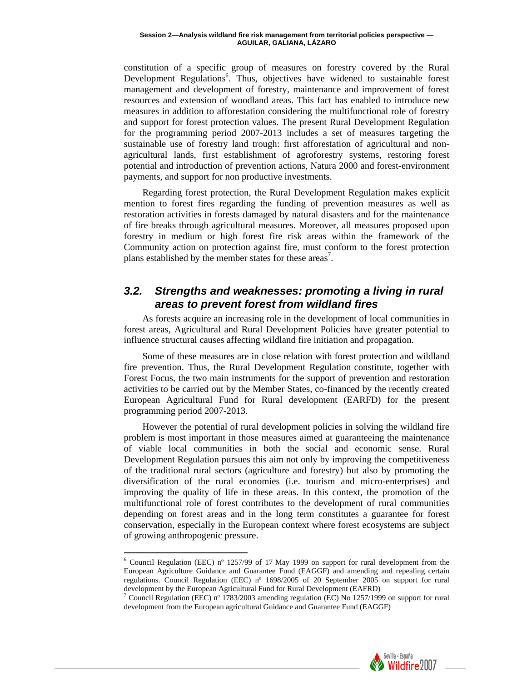constitution of a specific group of measures on forestry covered by the Rural Development Regulations<sup>[6](#page-5-0)</sup>. Thus, objectives have widened to sustainable forest management and development of forestry, maintenance and improvement of forest resources and extension of woodland areas. This fact has enabled to introduce new measures in addition to afforestation considering the multifunctional role of forestry and support for forest protection values. The present Rural Development Regulation for the programming period 2007-2013 includes a set of measures targeting the sustainable use of forestry land trough: first afforestation of agricultural and nonagricultural lands, first establishment of agroforestry systems, restoring forest potential and introduction of prevention actions, Natura 2000 and forest-environment payments, and support for non productive investments.

Regarding forest protection, the Rural Development Regulation makes explicit mention to forest fires regarding the funding of prevention measures as well as restoration activities in forests damaged by natural disasters and for the maintenance of fire breaks through agricultural measures. Moreover, all measures proposed upon forestry in medium or high forest fire risk areas within the framework of the Community action on protection against fire, must conform to the forest protection plans established by the member states for these areas<sup>7</sup>.

### *3.2. Strengths and weaknesses: promoting a living in rural areas to prevent forest from wildland fires*

As forests acquire an increasing role in the development of local communities in forest areas, Agricultural and Rural Development Policies have greater potential to influence structural causes affecting wildland fire initiation and propagation.

Some of these measures are in close relation with forest protection and wildland fire prevention. Thus, the Rural Development Regulation constitute, together with Forest Focus, the two main instruments for the support of prevention and restoration activities to be carried out by the Member States, co-financed by the recently created European Agricultural Fund for Rural development (EARFD) for the present programming period 2007-2013.

However the potential of rural development policies in solving the wildland fire problem is most important in those measures aimed at guaranteeing the maintenance of viable local communities in both the social and economic sense. Rural Development Regulation pursues this aim not only by improving the competitiveness of the traditional rural sectors (agriculture and forestry) but also by promoting the diversification of the rural economies (i.e. tourism and micro-enterprises) and improving the quality of life in these areas. In this context, the promotion of the multifunctional role of forest contributes to the development of rural communities depending on forest areas and in the long term constitutes a guarantee for forest conservation, especially in the European context where forest ecosystems are subject of growing anthropogenic pressure.



<span id="page-5-0"></span><sup>&</sup>lt;sup>6</sup> Council Regulation (EEC) n<sup>o</sup> 1257/99 of 17 May 1999 on support for rural development from the European Agriculture Guidance and Guarantee Fund (EAGGF) and amending and repealing certain regulations. Council Regulation (EEC) nº 1698/2005 of 20 September 2005 on support for rural development by the European Agricultural Fund for Rural Development (EAFRD)

<span id="page-5-1"></span>Council Regulation (EEC) nº 1783/2003 amending regulation (EC) No 1257/1999 on support for rural development from the European agricultural Guidance and Guarantee Fund (EAGGF)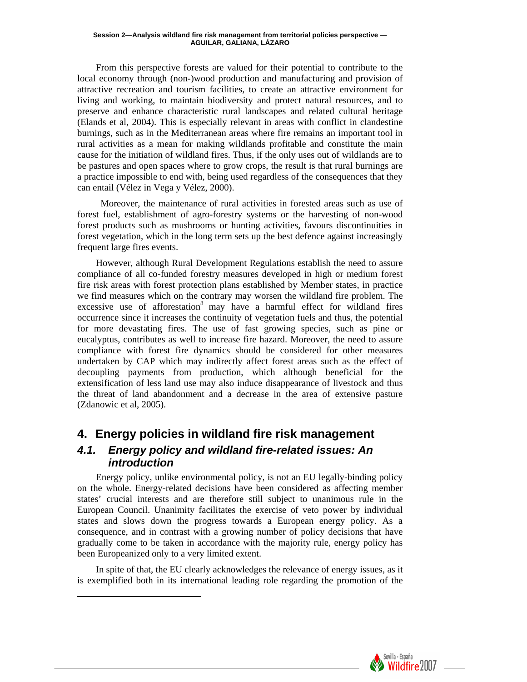From this perspective forests are valued for their potential to contribute to the local economy through (non-)wood production and manufacturing and provision of attractive recreation and tourism facilities, to create an attractive environment for living and working, to maintain biodiversity and protect natural resources, and to preserve and enhance characteristic rural landscapes and related cultural heritage (Elands et al, 2004). This is especially relevant in areas with conflict in clandestine burnings, such as in the Mediterranean areas where fire remains an important tool in rural activities as a mean for making wildlands profitable and constitute the main cause for the initiation of wildland fires. Thus, if the only uses out of wildlands are to be pastures and open spaces where to grow crops, the result is that rural burnings are a practice impossible to end with, being used regardless of the consequences that they can entail (Vélez in Vega y Vélez, 2000).

Moreover, the maintenance of rural activities in forested areas such as use of forest fuel, establishment of agro-forestry systems or the harvesting of non-wood forest products such as mushrooms or hunting activities, favours discontinuities in forest vegetation, which in the long term sets up the best defence against increasingly frequent large fires events.

However, although Rural Development Regulations establish the need to assure compliance of all co-funded forestry measures developed in high or medium forest fire risk areas with forest protection plans established by Member states, in practice we find measures which on the contrary may worsen the wildland fire problem. The excessive use of afforestation<sup>8</sup> may have a harmful effect for wildland fires occurrence since it increases the continuity of vegetation fuels and thus, the potential for more devastating fires. The use of fast growing species, such as pine or eucalyptus, contributes as well to increase fire hazard. Moreover, the need to assure compliance with forest fire dynamics should be considered for other measures undertaken by CAP which may indirectly affect forest areas such as the effect of decoupling payments from production, which although beneficial for the extensification of less land use may also induce disappearance of livestock and thus the threat of land abandonment and a decrease in the area of extensive pasture (Zdanowic et al, 2005).

## **4. Energy policies in wildland fire risk management**

### *4.1. Energy policy and wildland fire-related issues: An introduction*

Energy policy, unlike environmental policy, is not an EU legally-binding policy on the whole. Energy-related decisions have been considered as affecting member states' crucial interests and are therefore still subject to unanimous rule in the European Council. Unanimity facilitates the exercise of veto power by individual states and slows down the progress towards a European energy policy. As a consequence, and in contrast with a growing number of policy decisions that have gradually come to be taken in accordance with the majority rule, energy policy has been Europeanized only to a very limited extent.

<span id="page-6-0"></span>In spite of that, the EU clearly acknowledges the relevance of energy issues, as it is exemplified both in its international leading role regarding the promotion of the

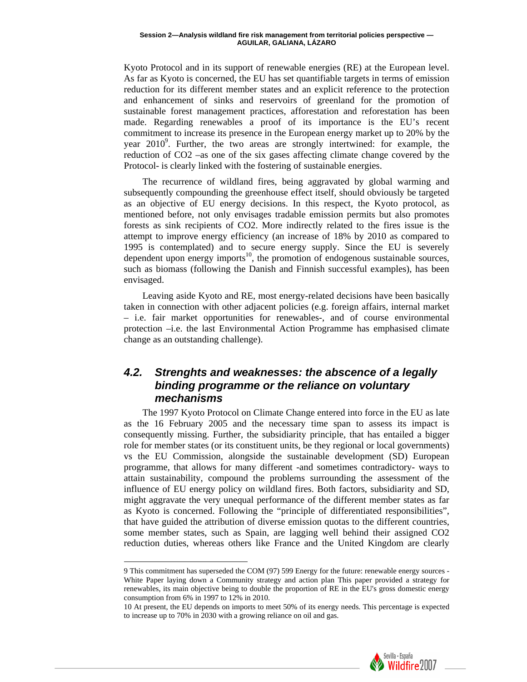Kyoto Protocol and in its support of renewable energies (RE) at the European level. As far as Kyoto is concerned, the EU has set quantifiable targets in terms of emission reduction for its different member states and an explicit reference to the protection and enhancement of sinks and reservoirs of greenland for the promotion of sustainable forest management practices, afforestation and reforestation has been made. Regarding renewables a proof of its importance is the EU's recent commitment to increase its presence in the European energy market up to 20% by the year 2010<sup>9</sup>[.](#page-7-0) Further, the two areas are strongly intertwined: for example, the reduction of CO2 –as one of the six gases affecting climate change covered by the Protocol- is clearly linked with the fostering of sustainable energies.

The recurrence of wildland fires, being aggravated by global warming and subsequently compounding the greenhouse effect itself, should obviously be targeted as an objective of EU energy decisions. In this respect, the Kyoto protocol, as mentioned before, not only envisages tradable emission permits but also promotes forests as sink recipients of CO2. More indirectly related to the fires issue is the attempt to improve energy efficiency (an increase of 18% by 2010 as compared to 1995 is contemplated) and to secure energy supply. Since the EU is severely dependent upon energy imports<sup>10</sup>, the promotion of endogenous sustainable sources, such as biomass (following the Danish and Finnish successful examples), has been envisaged.

Leaving aside Kyoto and RE, most energy-related decisions have been basically taken in connection with other adjacent policies (e.g. foreign affairs, internal market – i.e. fair market opportunities for renewables-, and of course environmental protection –i.e. the last Environmental Action Programme has emphasised climate change as an outstanding challenge).

### *4.2. Strenghts and weaknesses: the abscence of a legally binding programme or the reliance on voluntary mechanisms*

The 1997 Kyoto Protocol on Climate Change entered into force in the EU as late as the 16 February 2005 and the necessary time span to assess its impact is consequently missing. Further, the subsidiarity principle, that has entailed a bigger role for member states (or its constituent units, be they regional or local governments) vs the EU Commission, alongside the sustainable development (SD) European programme, that allows for many different -and sometimes contradictory- ways to attain sustainability, compound the problems surrounding the assessment of the influence of EU energy policy on wildland fires. Both factors, subsidiarity and SD, might aggravate the very unequal performance of the different member states as far as Kyoto is concerned. Following the "principle of differentiated responsibilities", that have guided the attribution of diverse emission quotas to the different countries, some member states, such as Spain, are lagging well behind their assigned CO2 reduction duties, whereas others like France and the United Kingdom are clearly

<span id="page-7-1"></span><sup>10</sup> At present, the EU depends on imports to meet 50% of its energy needs. This percentage is expected to increase up to 70% in 2030 with a growing reliance on oil and gas.



<span id="page-7-0"></span><sup>9</sup> This commitment has superseded the COM (97) 599 Energy for the future: renewable energy sources - White Paper laying down a Community strategy and action plan This paper provided a strategy for renewables, its main objective being to double the proportion of RE in the EU's gross domestic energy consumption from 6% in 1997 to 12% in 2010.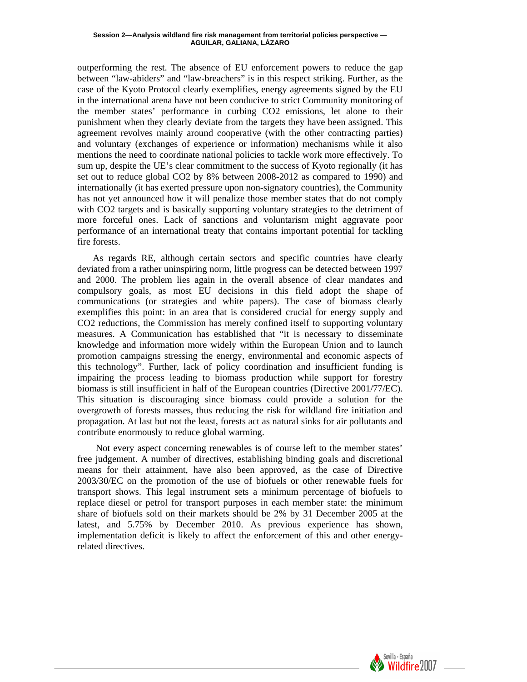outperforming the rest. The absence of EU enforcement powers to reduce the gap between "law-abiders" and "law-breachers" is in this respect striking. Further, as the case of the Kyoto Protocol clearly exemplifies, energy agreements signed by the EU in the international arena have not been conducive to strict Community monitoring of the member states' performance in curbing CO2 emissions, let alone to their punishment when they clearly deviate from the targets they have been assigned. This agreement revolves mainly around cooperative (with the other contracting parties) and voluntary (exchanges of experience or information) mechanisms while it also mentions the need to coordinate national policies to tackle work more effectively. To sum up, despite the UE's clear commitment to the success of Kyoto regionally (it has set out to reduce global CO2 by 8% between 2008-2012 as compared to 1990) and internationally (it has exerted pressure upon non-signatory countries), the Community has not yet announced how it will penalize those member states that do not comply with CO2 targets and is basically supporting voluntary strategies to the detriment of more forceful ones. Lack of sanctions and voluntarism might aggravate poor performance of an international treaty that contains important potential for tackling fire forests.

As regards RE, although certain sectors and specific countries have clearly deviated from a rather uninspiring norm, little progress can be detected between 1997 and 2000. The problem lies again in the overall absence of clear mandates and compulsory goals, as most EU decisions in this field adopt the shape of communications (or strategies and white papers). The case of biomass clearly exemplifies this point: in an area that is considered crucial for energy supply and CO2 reductions, the Commission has merely confined itself to supporting voluntary measures. A Communication has established that "it is necessary to disseminate knowledge and information more widely within the European Union and to launch promotion campaigns stressing the energy, environmental and economic aspects of this technology". Further, lack of policy coordination and insufficient funding is impairing the process leading to biomass production while support for forestry biomass is still insufficient in half of the European countries (Directive 2001/77/EC). This situation is discouraging since biomass could provide a solution for the overgrowth of forests masses, thus reducing the risk for wildland fire initiation and propagation. At last but not the least, forests act as natural sinks for air pollutants and contribute enormously to reduce global warming.

Not every aspect concerning renewables is of course left to the member states' free judgement. A number of directives, establishing binding goals and discretional means for their attainment, have also been approved, as the case of Directive 2003/30/EC on the promotion of the use of biofuels or other renewable fuels for transport shows. This legal instrument sets a minimum percentage of biofuels to replace diesel or petrol for transport purposes in each member state: the minimum share of biofuels sold on their markets should be 2% by 31 December 2005 at the latest, and 5.75% by December 2010. As previous experience has shown, implementation deficit is likely to affect the enforcement of this and other energyrelated directives.

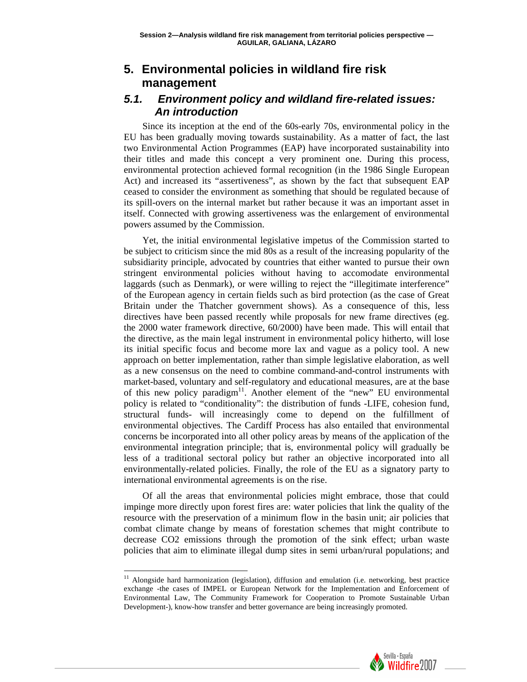## **5. Environmental policies in wildland fire risk management**

### *5.1. Environment policy and wildland fire-related issues: An introduction*

Since its inception at the end of the 60s-early 70s, environmental policy in the EU has been gradually moving towards sustainability. As a matter of fact, the last two Environmental Action Programmes (EAP) have incorporated sustainability into their titles and made this concept a very prominent one. During this process, environmental protection achieved formal recognition (in the 1986 Single European Act) and increased its "assertiveness", as shown by the fact that subsequent EAP ceased to consider the environment as something that should be regulated because of its spill-overs on the internal market but rather because it was an important asset in itself. Connected with growing assertiveness was the enlargement of environmental powers assumed by the Commission.

Yet, the initial environmental legislative impetus of the Commission started to be subject to criticism since the mid 80s as a result of the increasing popularity of the subsidiarity principle, advocated by countries that either wanted to pursue their own stringent environmental policies without having to accomodate environmental laggards (such as Denmark), or were willing to reject the "illegitimate interference" of the European agency in certain fields such as bird protection (as the case of Great Britain under the Thatcher government shows). As a consequence of this, less directives have been passed recently while proposals for new frame directives (eg. the 2000 water framework directive, 60/2000) have been made. This will entail that the directive, as the main legal instrument in environmental policy hitherto, will lose its initial specific focus and become more lax and vague as a policy tool. A new approach on better implementation, rather than simple legislative elaboration, as well as a new consensus on the need to combine command-and-control instruments with market-based, voluntary and self-regulatory and educational measures, are at the base of this new policy paradigm<sup>11</sup>. Another element of the "new" EU environmental policy is related to "conditionality": the distribution of funds -LIFE, cohesion fund, structural funds- will increasingly come to depend on the fulfillment of environmental objectives. The Cardiff Process has also entailed that environmental concerns be incorporated into all other policy areas by means of the application of the environmental integration principle; that is, environmental policy will gradually be less of a traditional sectoral policy but rather an objective incorporated into all environmentally-related policies. Finally, the role of the EU as a signatory party to international environmental agreements is on the rise.

Of all the areas that environmental policies might embrace, those that could impinge more directly upon forest fires are: water policies that link the quality of the resource with the preservation of a minimum flow in the basin unit; air policies that combat climate change by means of forestation schemes that might contribute to decrease CO2 emissions through the promotion of the sink effect; urban waste policies that aim to eliminate illegal dump sites in semi urban/rural populations; and



<span id="page-9-0"></span><sup>&</sup>lt;sup>11</sup> Alongside hard harmonization (legislation), diffusion and emulation (i.e. networking, best practice exchange -the cases of IMPEL or European Network for the Implementation and Enforcement of Environmental Law, The Community Framework for Cooperation to Promote Sustainable Urban Development-), know-how transfer and better governance are being increasingly promoted.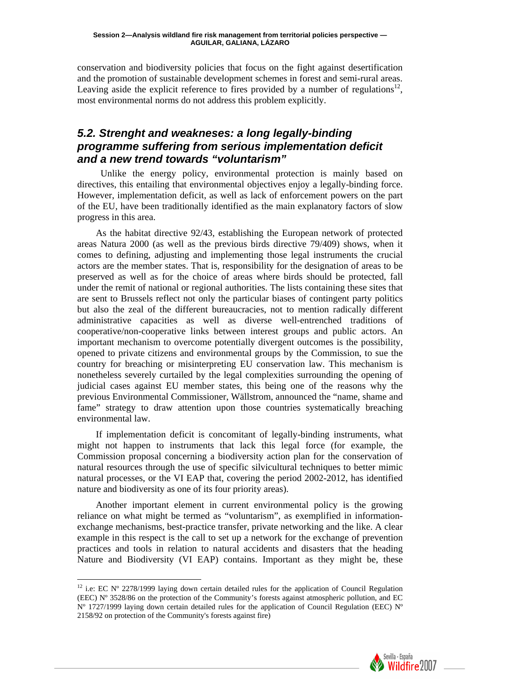conservation and biodiversity policies that focus on the fight against desertification and the promotion of sustainable development schemes in forest and semi-rural areas. Leaving aside the explicit reference to fires provided by a number of regulations<sup>12</sup>, most environmental norms do not address this problem explicitly.

### *5.2. Strenght and weakneses: a long legally-binding programme suffering from serious implementation deficit and a new trend towards "voluntarism"*

Unlike the energy policy, environmental protection is mainly based on directives, this entailing that environmental objectives enjoy a legally-binding force. However, implementation deficit, as well as lack of enforcement powers on the part of the EU, have been traditionally identified as the main explanatory factors of slow progress in this area.

As the habitat directive 92/43, establishing the European network of protected areas Natura 2000 (as well as the previous birds directive 79/409) shows, when it comes to defining, adjusting and implementing those legal instruments the crucial actors are the member states. That is, responsibility for the designation of areas to be preserved as well as for the choice of areas where birds should be protected, fall under the remit of national or regional authorities. The lists containing these sites that are sent to Brussels reflect not only the particular biases of contingent party politics but also the zeal of the different bureaucracies, not to mention radically different administrative capacities as well as diverse well-entrenched traditions of cooperative/non-cooperative links between interest groups and public actors. An important mechanism to overcome potentially divergent outcomes is the possibility, opened to private citizens and environmental groups by the Commission, to sue the country for breaching or misinterpreting EU conservation law. This mechanism is nonetheless severely curtailed by the legal complexities surrounding the opening of judicial cases against EU member states, this being one of the reasons why the previous Environmental Commissioner, Wällstrom, announced the "name, shame and fame" strategy to draw attention upon those countries systematically breaching environmental law.

If implementation deficit is concomitant of legally-binding instruments, what might not happen to instruments that lack this legal force (for example, the Commission proposal concerning a biodiversity action plan for the conservation of natural resources through the use of specific silvicultural techniques to better mimic natural processes, or the VI EAP that, covering the period 2002-2012, has identified nature and biodiversity as one of its four priority areas).

Another important element in current environmental policy is the growing reliance on what might be termed as "voluntarism", as exemplified in informationexchange mechanisms, best-practice transfer, private networking and the like. A clear example in this respect is the call to set up a network for the exchange of prevention practices and tools in relation to natural accidents and disasters that the heading Nature and Biodiversity (VI EAP) contains. Important as they might be, these



<span id="page-10-0"></span><sup>&</sup>lt;sup>12</sup> i.e: EC N° 2278/1999 laying down certain detailed rules for the application of Council Regulation (EEC) Nº 3528/86 on the protection of the Community's forests against atmospheric pollution, and EC  $N^{\circ}$  1727/1999 laying down certain detailed rules for the application of Council Regulation (EEC)  $N^{\circ}$ 2158/92 on protection of the Community's forests against fire)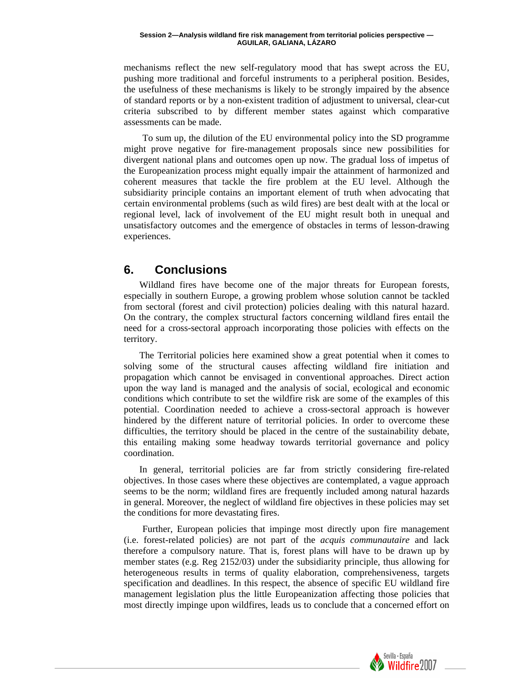mechanisms reflect the new self-regulatory mood that has swept across the EU, pushing more traditional and forceful instruments to a peripheral position. Besides, the usefulness of these mechanisms is likely to be strongly impaired by the absence of standard reports or by a non-existent tradition of adjustment to universal, clear-cut criteria subscribed to by different member states against which comparative assessments can be made.

To sum up, the dilution of the EU environmental policy into the SD programme might prove negative for fire-management proposals since new possibilities for divergent national plans and outcomes open up now. The gradual loss of impetus of the Europeanization process might equally impair the attainment of harmonized and coherent measures that tackle the fire problem at the EU level. Although the subsidiarity principle contains an important element of truth when advocating that certain environmental problems (such as wild fires) are best dealt with at the local or regional level, lack of involvement of the EU might result both in unequal and unsatisfactory outcomes and the emergence of obstacles in terms of lesson-drawing experiences.

## **6. Conclusions**

Wildland fires have become one of the major threats for European forests, especially in southern Europe, a growing problem whose solution cannot be tackled from sectoral (forest and civil protection) policies dealing with this natural hazard. On the contrary, the complex structural factors concerning wildland fires entail the need for a cross-sectoral approach incorporating those policies with effects on the territory.

The Territorial policies here examined show a great potential when it comes to solving some of the structural causes affecting wildland fire initiation and propagation which cannot be envisaged in conventional approaches. Direct action upon the way land is managed and the analysis of social, ecological and economic conditions which contribute to set the wildfire risk are some of the examples of this potential. Coordination needed to achieve a cross-sectoral approach is however hindered by the different nature of territorial policies. In order to overcome these difficulties, the territory should be placed in the centre of the sustainability debate, this entailing making some headway towards territorial governance and policy coordination.

In general, territorial policies are far from strictly considering fire-related objectives. In those cases where these objectives are contemplated, a vague approach seems to be the norm; wildland fires are frequently included among natural hazards in general. Moreover, the neglect of wildland fire objectives in these policies may set the conditions for more devastating fires.

Further, European policies that impinge most directly upon fire management (i.e. forest-related policies) are not part of the *acquis communautaire* and lack therefore a compulsory nature. That is, forest plans will have to be drawn up by member states (e.g. Reg 2152/03) under the subsidiarity principle, thus allowing for heterogeneous results in terms of quality elaboration, comprehensiveness, targets specification and deadlines. In this respect, the absence of specific EU wildland fire management legislation plus the little Europeanization affecting those policies that most directly impinge upon wildfires, leads us to conclude that a concerned effort on